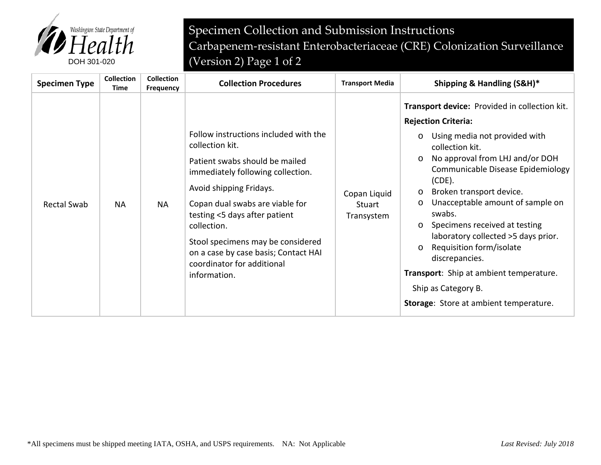

Specimen Collection and Submission Instructions Carbapenem-resistant Enterobacteriaceae (CRE) Colonization Surveillance DOH 301-020 (Version 2) Page 1 of 2

| <b>Specimen Type</b> | <b>Collection</b><br>Time | <b>Collection</b><br><b>Frequency</b> | <b>Collection Procedures</b>                                                                                                                                                                                                                                                                                                                                             | <b>Transport Media</b>               | Shipping & Handling (S&H)*                                                                                                                                                                                                                                                                                                                                                                                                                                                                                                                                                                         |
|----------------------|---------------------------|---------------------------------------|--------------------------------------------------------------------------------------------------------------------------------------------------------------------------------------------------------------------------------------------------------------------------------------------------------------------------------------------------------------------------|--------------------------------------|----------------------------------------------------------------------------------------------------------------------------------------------------------------------------------------------------------------------------------------------------------------------------------------------------------------------------------------------------------------------------------------------------------------------------------------------------------------------------------------------------------------------------------------------------------------------------------------------------|
| <b>Rectal Swab</b>   | <b>NA</b>                 | <b>NA</b>                             | Follow instructions included with the<br>collection kit.<br>Patient swabs should be mailed<br>immediately following collection.<br>Avoid shipping Fridays.<br>Copan dual swabs are viable for<br>testing <5 days after patient<br>collection.<br>Stool specimens may be considered<br>on a case by case basis; Contact HAI<br>coordinator for additional<br>information. | Copan Liquid<br>Stuart<br>Transystem | Transport device: Provided in collection kit.<br><b>Rejection Criteria:</b><br>Using media not provided with<br>$\circ$<br>collection kit.<br>No approval from LHJ and/or DOH<br>$\circ$<br>Communicable Disease Epidemiology<br>$(CDE)$ .<br>Broken transport device.<br>$\circ$<br>Unacceptable amount of sample on<br>$\circ$<br>swabs.<br>Specimens received at testing<br>$\circ$<br>laboratory collected >5 days prior.<br>Requisition form/isolate<br>$\circ$<br>discrepancies.<br>Transport: Ship at ambient temperature.<br>Ship as Category B.<br>Storage: Store at ambient temperature. |